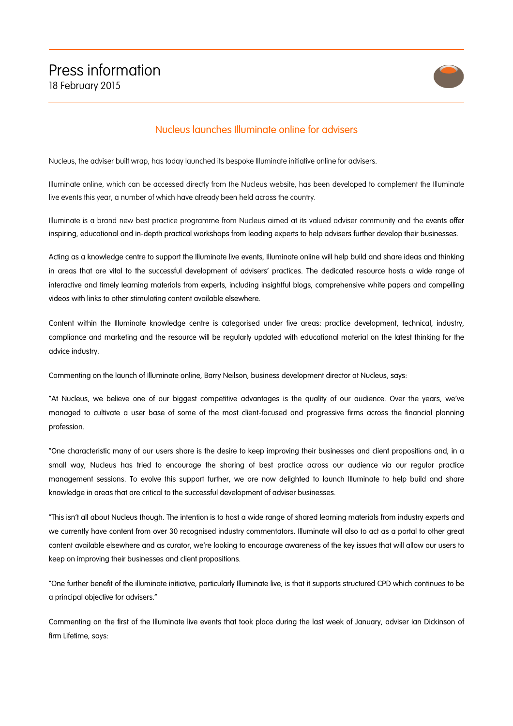

## Nucleus launches Illuminate online for advisers

Nucleus, the adviser built wrap, has today launched its bespoke Illuminate initiative online for advisers.

Illuminate online, which can be accessed directly from the Nucleus website, has been developed to complement the Illuminate live events this year, a number of which have already been held across the country.

Illuminate is a brand new best practice programme from Nucleus aimed at its valued adviser community and the events offer inspiring, educational and in-depth practical workshops from leading experts to help advisers further develop their businesses.

Acting as a knowledge centre to support the Illuminate live events, Illuminate online will help build and share ideas and thinking in areas that are vital to the successful development of advisers' practices. The dedicated resource hosts a wide range of interactive and timely learning materials from experts, including insightful blogs, comprehensive white papers and compelling videos with links to other stimulating content available elsewhere.

Content within the Illuminate knowledge centre is categorised under five areas: practice development, technical, industry, compliance and marketing and the resource will be regularly updated with educational material on the latest thinking for the advice industry.

Commenting on the launch of Illuminate online, Barry Neilson, business development director at Nucleus, says:

"At Nucleus, we believe one of our biggest competitive advantages is the quality of our audience. Over the years, we've managed to cultivate a user base of some of the most client-focused and progressive firms across the financial planning profession.

"One characteristic many of our users share is the desire to keep improving their businesses and client propositions and, in a small way, Nucleus has tried to encourage the sharing of best practice across our audience via our regular practice management sessions. To evolve this support further, we are now delighted to launch Illuminate to help build and share knowledge in areas that are critical to the successful development of adviser businesses.

"This isn't all about Nucleus though. The intention is to host a wide range of shared learning materials from industry experts and we currently have content from over 30 recognised industry commentators. Illuminate will also to act as a portal to other great content available elsewhere and as curator, we're looking to encourage awareness of the key issues that will allow our users to keep on improving their businesses and client propositions.

"One further benefit of the illuminate initiative, particularly Illuminate live, is that it supports structured CPD which continues to be a principal objective for advisers."

Commenting on the first of the Illuminate live events that took place during the last week of January, adviser Ian Dickinson of firm Lifetime, says: